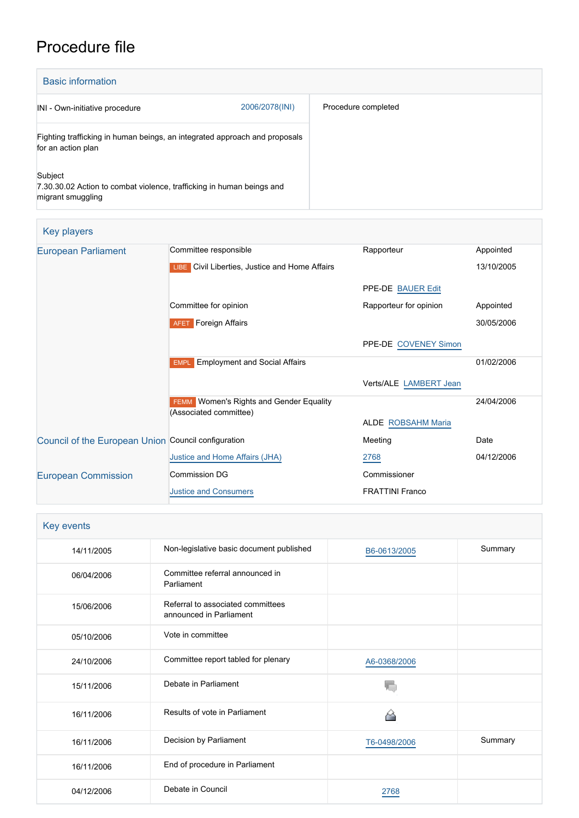## Procedure file

| <b>Basic information</b>                                                                              |                |                     |
|-------------------------------------------------------------------------------------------------------|----------------|---------------------|
| INI - Own-initiative procedure                                                                        | 2006/2078(INI) | Procedure completed |
| Fighting trafficking in human beings, an integrated approach and proposals<br>for an action plan      |                |                     |
| Subject<br>7.30.30.02 Action to combat violence, trafficking in human beings and<br>migrant smuggling |                |                     |

| Key players |  |
|-------------|--|
|             |  |

| <b>European Parliament</b>                          | Committee responsible                                                    | Rapporteur             | Appointed  |
|-----------------------------------------------------|--------------------------------------------------------------------------|------------------------|------------|
|                                                     | <b>LIBE</b> Civil Liberties, Justice and Home Affairs                    |                        | 13/10/2005 |
|                                                     |                                                                          | PPE-DE BAUER Edit      |            |
|                                                     | Committee for opinion                                                    | Rapporteur for opinion | Appointed  |
|                                                     | <b>AFET</b> Foreign Affairs                                              |                        | 30/05/2006 |
|                                                     |                                                                          | PPE-DE COVENEY Simon   |            |
|                                                     | <b>Employment and Social Affairs</b><br><b>EMPL</b>                      |                        | 01/02/2006 |
|                                                     |                                                                          | Verts/ALE LAMBERT Jean |            |
|                                                     | <b>FEMM</b> Women's Rights and Gender Equality<br>(Associated committee) |                        | 24/04/2006 |
|                                                     |                                                                          | ALDE ROBSAHM Maria     |            |
| Council of the European Union Council configuration |                                                                          | Meeting                | Date       |
|                                                     | Justice and Home Affairs (JHA)                                           | 2768                   | 04/12/2006 |
| <b>European Commission</b>                          | Commission DG                                                            | Commissioner           |            |
|                                                     | <b>Justice and Consumers</b>                                             | <b>FRATTINI Franco</b> |            |

| Key events |                                                              |              |         |
|------------|--------------------------------------------------------------|--------------|---------|
| 14/11/2005 | Non-legislative basic document published                     | B6-0613/2005 | Summary |
| 06/04/2006 | Committee referral announced in<br>Parliament                |              |         |
| 15/06/2006 | Referral to associated committees<br>announced in Parliament |              |         |
| 05/10/2006 | Vote in committee                                            |              |         |
| 24/10/2006 | Committee report tabled for plenary                          | A6-0368/2006 |         |
| 15/11/2006 | Debate in Parliament                                         |              |         |
| 16/11/2006 | Results of vote in Parliament                                |              |         |
| 16/11/2006 | Decision by Parliament                                       | T6-0498/2006 | Summary |
| 16/11/2006 | End of procedure in Parliament                               |              |         |
| 04/12/2006 | Debate in Council                                            | 2768         |         |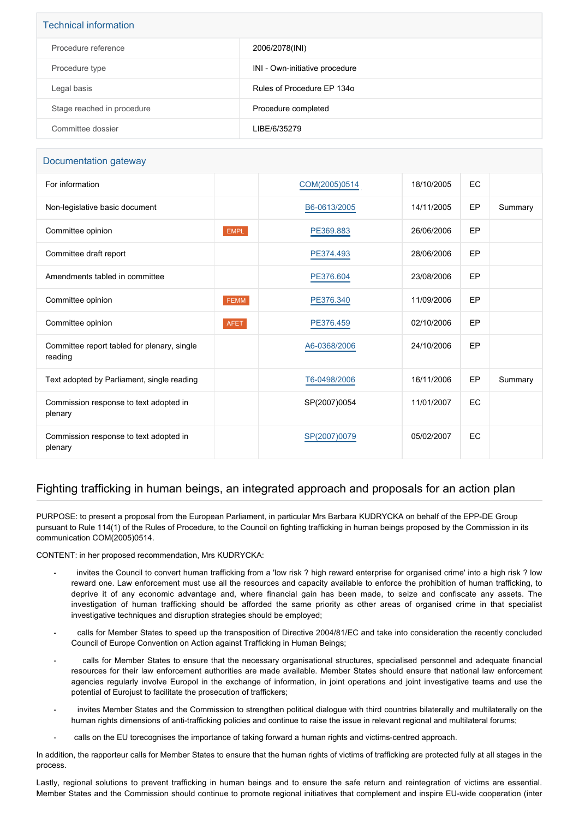| <b>Technical information</b> |                                |  |  |
|------------------------------|--------------------------------|--|--|
| Procedure reference          | 2006/2078(INI)                 |  |  |
| Procedure type               | INI - Own-initiative procedure |  |  |
| Legal basis                  | Rules of Procedure EP 1340     |  |  |
| Stage reached in procedure   | Procedure completed            |  |  |
| Committee dossier            | LIBE/6/35279                   |  |  |

## Documentation gateway

| For information                                        |             | COM(2005)0514 | 18/10/2005 | <b>EC</b> |         |
|--------------------------------------------------------|-------------|---------------|------------|-----------|---------|
| Non-legislative basic document                         |             | B6-0613/2005  | 14/11/2005 | EP        | Summary |
| Committee opinion                                      | EMPL        | PE369.883     | 26/06/2006 | EP        |         |
| Committee draft report                                 |             | PE374.493     | 28/06/2006 | EP        |         |
| Amendments tabled in committee                         |             | PE376.604     | 23/08/2006 | EP        |         |
| Committee opinion                                      | <b>FEMM</b> | PE376.340     | 11/09/2006 | EP        |         |
| Committee opinion                                      | <b>AFET</b> | PE376.459     | 02/10/2006 | EP        |         |
| Committee report tabled for plenary, single<br>reading |             | A6-0368/2006  | 24/10/2006 | EP        |         |
| Text adopted by Parliament, single reading             |             | T6-0498/2006  | 16/11/2006 | EP        | Summary |
| Commission response to text adopted in<br>plenary      |             | SP(2007)0054  | 11/01/2007 | EC        |         |
| Commission response to text adopted in<br>plenary      |             | SP(2007)0079  | 05/02/2007 | EC        |         |

## Fighting trafficking in human beings, an integrated approach and proposals for an action plan

PURPOSE: to present a proposal from the European Parliament, in particular Mrs Barbara KUDRYCKA on behalf of the EPP-DE Group pursuant to Rule 114(1) of the Rules of Procedure, to the Council on fighting trafficking in human beings proposed by the Commission in its communication COM(2005)0514.

CONTENT: in her proposed recommendation, Mrs KUDRYCKA:

- invites the Council to convert human trafficking from a 'low risk ? high reward enterprise for organised crime' into a high risk ? low reward one. Law enforcement must use all the resources and capacity available to enforce the prohibition of human trafficking, to deprive it of any economic advantage and, where financial gain has been made, to seize and confiscate any assets. The investigation of human trafficking should be afforded the same priority as other areas of organised crime in that specialist investigative techniques and disruption strategies should be employed;
- calls for Member States to speed up the transposition of Directive 2004/81/EC and take into consideration the recently concluded Council of Europe Convention on Action against Trafficking in Human Beings;
- calls for Member States to ensure that the necessary organisational structures, specialised personnel and adequate financial resources for their law enforcement authorities are made available. Member States should ensure that national law enforcement agencies regularly involve Europol in the exchange of information, in joint operations and joint investigative teams and use the potential of Eurojust to facilitate the prosecution of traffickers;
- invites Member States and the Commission to strengthen political dialogue with third countries bilaterally and multilaterally on the human rights dimensions of anti-trafficking policies and continue to raise the issue in relevant regional and multilateral forums;
- calls on the EU torecognises the importance of taking forward a human rights and victims-centred approach.

In addition, the rapporteur calls for Member States to ensure that the human rights of victims of trafficking are protected fully at all stages in the process.

Lastly, regional solutions to prevent trafficking in human beings and to ensure the safe return and reintegration of victims are essential. Member States and the Commission should continue to promote regional initiatives that complement and inspire EU-wide cooperation (inter